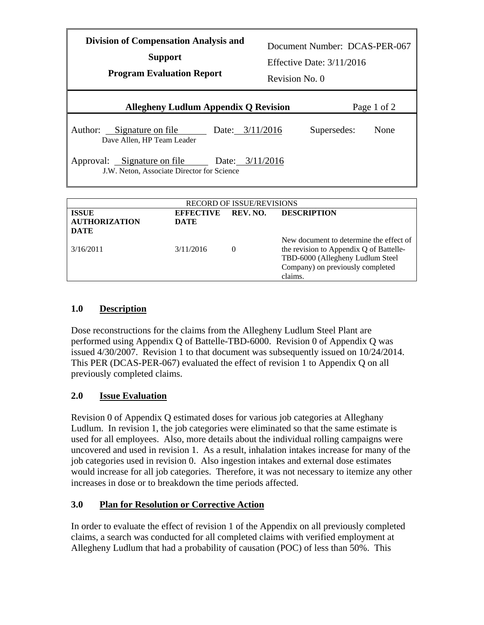| <b>Division of Compensation Analysis and</b><br><b>Support</b><br><b>Program Evaluation Report</b> | Revision No. 0 | Document Number: DCAS-PER-067<br>Effective Date: $3/11/2016$ |             |
|----------------------------------------------------------------------------------------------------|----------------|--------------------------------------------------------------|-------------|
| <b>Allegheny Ludlum Appendix Q Revision</b>                                                        |                |                                                              | Page 1 of 2 |
| Author: Signature on file<br>Date: $3/11/2016$<br>Dave Allen, HP Team Leader                       |                | Supersedes:                                                  | None        |
| Approval: Signature on file<br>Date: $3/11/2016$<br>J.W. Neton, Associate Director for Science     |                |                                                              |             |
| <b>RECORD OF ISSUE/REVISIONS</b>                                                                   |                |                                                              |             |

| <b>RECORD OF ISSUE/REVISIONS</b> |                  |          |                                         |  |  |  |
|----------------------------------|------------------|----------|-----------------------------------------|--|--|--|
| <b>ISSUE</b>                     | <b>EFFECTIVE</b> | REV. NO. | <b>DESCRIPTION</b>                      |  |  |  |
| <b>AUTHORIZATION</b>             | DATE             |          |                                         |  |  |  |
| <b>DATE</b>                      |                  |          |                                         |  |  |  |
|                                  |                  |          | New document to determine the effect of |  |  |  |
| 3/16/2011                        | 3/11/2016        | $\theta$ | the revision to Appendix Q of Battelle- |  |  |  |
|                                  |                  |          | TBD-6000 (Allegheny Ludlum Steel        |  |  |  |
|                                  |                  |          | Company) on previously completed        |  |  |  |
|                                  |                  |          | claims.                                 |  |  |  |

## **1.0 Description**

 Dose reconstructions for the claims from the Allegheny Ludlum Steel Plant are issued 4/30/2007. Revision 1 to that document was subsequently issued on 10/24/2014. issued 4/30/2007. Revision 1 to that document was subsequently issued on 10/24/2014. This PER (DCAS-PER-067) evaluated the effect of revision 1 to Appendix Q on all performed using Appendix Q of Battelle-TBD-6000. Revision 0 of Appendix Q was previously completed claims.

## **2.0 Issue Evaluation**

 uncovered and used in revision 1. As a result, inhalation intakes increase for many of the job categories used in revision 0. Also ingestion intakes and external dose estimates would increase for all job categories. Therefore, it was not necessary to itemize any other increases in dose or to breakdown the time periods affected. Revision 0 of Appendix Q estimated doses for various job categories at Alleghany Ludlum. In revision 1, the job categories were eliminated so that the same estimate is used for all employees. Also, more details about the individual rolling campaigns were

## **3.0 Plan for Resolution or Corrective Action**

In order to evaluate the effect of revision 1 of the Appendix on all previously completed claims, a search was conducted for all completed claims with verified employment at Allegheny Ludlum that had a probability of causation (POC) of less than 50%. This